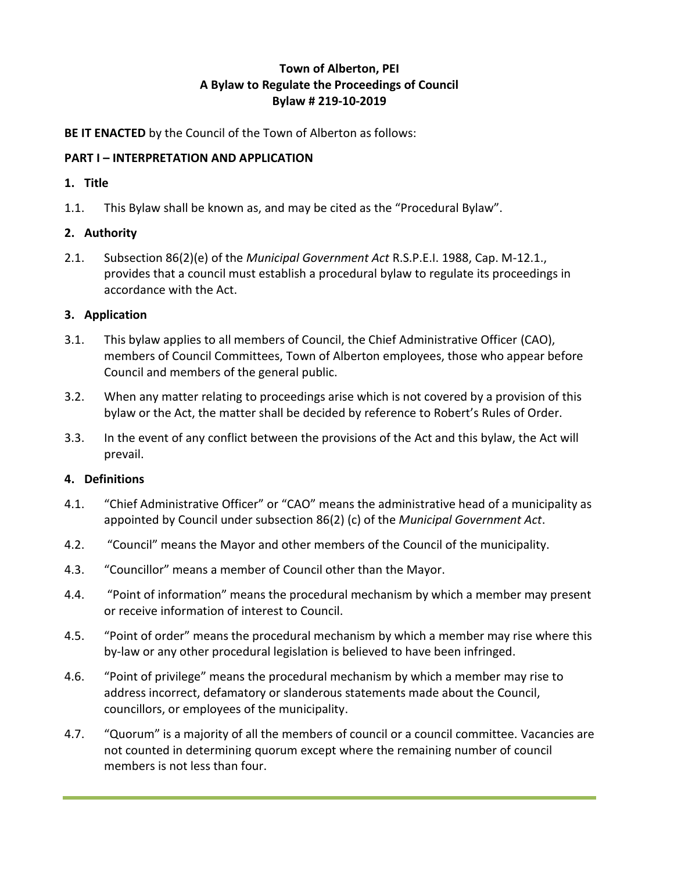# **Town of Alberton, PEI A Bylaw to Regulate the Proceedings of Council Bylaw # 219-10-2019**

**BE IT ENACTED** by the Council of the Town of Alberton as follows:

## **PART I – INTERPRETATION AND APPLICATION**

## **1. Title**

1.1. This Bylaw shall be known as, and may be cited as the "Procedural Bylaw".

## **2. Authority**

2.1. Subsection 86(2)(e) of the *Municipal Government Act* R.S.P.E.I. 1988, Cap. M-12.1., provides that a council must establish a procedural bylaw to regulate its proceedings in accordance with the Act.

## **3. Application**

- 3.1. This bylaw applies to all members of Council, the Chief Administrative Officer (CAO), members of Council Committees, Town of Alberton employees, those who appear before Council and members of the general public.
- 3.2. When any matter relating to proceedings arise which is not covered by a provision of this bylaw or the Act, the matter shall be decided by reference to Robert's Rules of Order.
- 3.3. In the event of any conflict between the provisions of the Act and this bylaw, the Act will prevail.

# **4. Definitions**

- 4.1. "Chief Administrative Officer" or "CAO" means the administrative head of a municipality as appointed by Council under subsection 86(2) (c) of the *Municipal Government Act*.
- 4.2. "Council" means the Mayor and other members of the Council of the municipality.
- 4.3. "Councillor" means a member of Council other than the Mayor.
- 4.4. "Point of information" means the procedural mechanism by which a member may present or receive information of interest to Council.
- 4.5. "Point of order" means the procedural mechanism by which a member may rise where this by-law or any other procedural legislation is believed to have been infringed.
- 4.6. "Point of privilege" means the procedural mechanism by which a member may rise to address incorrect, defamatory or slanderous statements made about the Council, councillors, or employees of the municipality.
- 4.7. "Quorum" is a majority of all the members of council or a council committee. Vacancies are not counted in determining quorum except where the remaining number of council members is not less than four.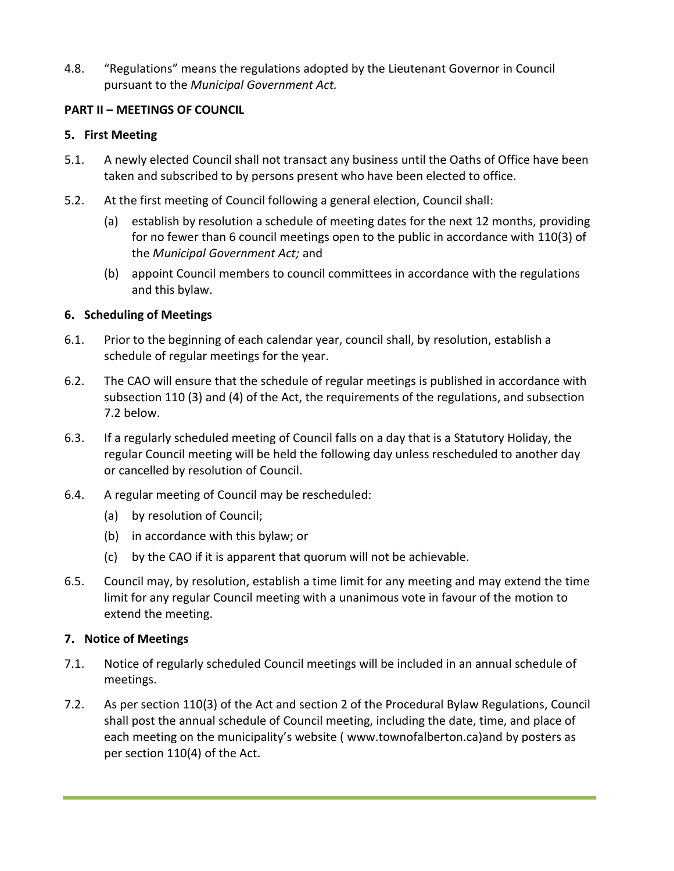4.8. "Regulations" means the regulations adopted by the Lieutenant Governor in Council pursuant to the *Municipal Government Act.*

## **PART II – MEETINGS OF COUNCIL**

#### **5. First Meeting**

- 5.1. A newly elected Council shall not transact any business until the Oaths of Office have been taken and subscribed to by persons present who have been elected to office.
- 5.2. At the first meeting of Council following a general election, Council shall:
	- (a) establish by resolution a schedule of meeting dates for the next 12 months, providing for no fewer than 6 council meetings open to the public in accordance with 110(3) of the *Municipal Government Act;* and
	- (b) appoint Council members to council committees in accordance with the regulations and this bylaw.

## **6. Scheduling of Meetings**

- 6.1. Prior to the beginning of each calendar year, council shall, by resolution, establish a schedule of regular meetings for the year.
- 6.2. The CAO will ensure that the schedule of regular meetings is published in accordance with subsection 110 (3) and (4) of the Act, the requirements of the regulations, and subsection 7.2 below.
- 6.3. If a regularly scheduled meeting of Council falls on a day that is a Statutory Holiday, the regular Council meeting will be held the following day unless rescheduled to another day or cancelled by resolution of Council.
- 6.4. A regular meeting of Council may be rescheduled:
	- (a) by resolution of Council;
	- (b) in accordance with this bylaw; or
	- (c) by the CAO if it is apparent that quorum will not be achievable.
- 6.5. Council may, by resolution, establish a time limit for any meeting and may extend the time limit for any regular Council meeting with a unanimous vote in favour of the motion to extend the meeting.

#### **7. Notice of Meetings**

- 7.1. Notice of regularly scheduled Council meetings will be included in an annual schedule of meetings.
- 7.2. As per section 110(3) of the Act and section 2 of the Procedural Bylaw Regulations, Council shall post the annual schedule of Council meeting, including the date, time, and place of each meeting on the municipality's website ( [www.townofalberton.ca\)a](http://www.townofalberton.ca/)nd by posters as per section 110(4) of the Act.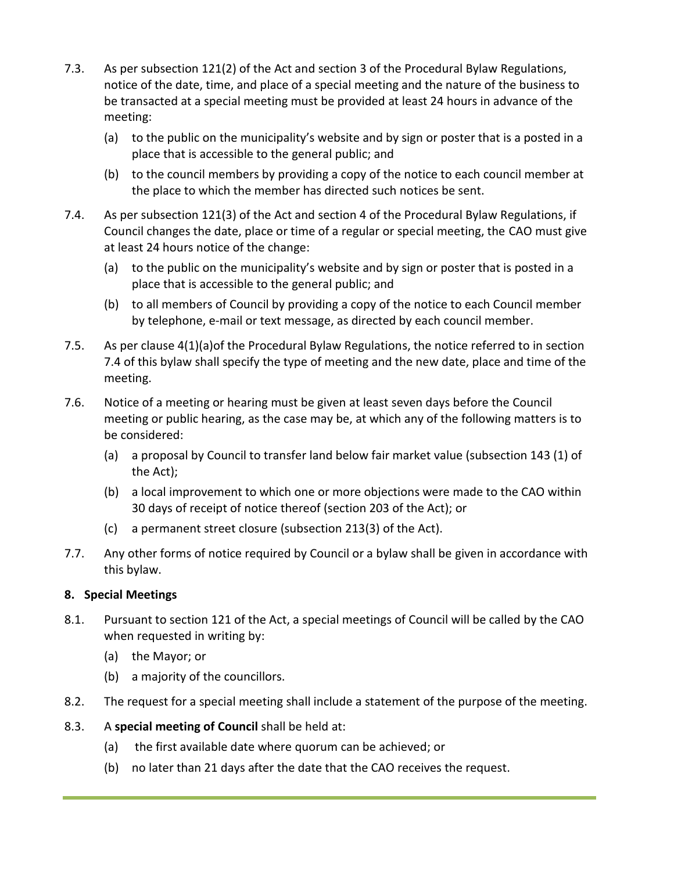- 7.3. As per subsection 121(2) of the Act and section 3 of the Procedural Bylaw Regulations, notice of the date, time, and place of a special meeting and the nature of the business to be transacted at a special meeting must be provided at least 24 hours in advance of the meeting:
	- (a) to the public on the municipality's website and by sign or poster that is a posted in a place that is accessible to the general public; and
	- (b) to the council members by providing a copy of the notice to each council member at the place to which the member has directed such notices be sent.
- 7.4. As per subsection 121(3) of the Act and section 4 of the Procedural Bylaw Regulations, if Council changes the date, place or time of a regular or special meeting, the CAO must give at least 24 hours notice of the change:
	- (a) to the public on the municipality's website and by sign or poster that is posted in a place that is accessible to the general public; and
	- (b) to all members of Council by providing a copy of the notice to each Council member by telephone, e-mail or text message, as directed by each council member.
- 7.5. As per clause 4(1)(a)of the Procedural Bylaw Regulations, the notice referred to in section 7.4 of this bylaw shall specify the type of meeting and the new date, place and time of the meeting.
- 7.6. Notice of a meeting or hearing must be given at least seven days before the Council meeting or public hearing, as the case may be, at which any of the following matters is to be considered:
	- (a) a proposal by Council to transfer land below fair market value (subsection 143 (1) of the Act);
	- (b) a local improvement to which one or more objections were made to the CAO within 30 days of receipt of notice thereof (section 203 of the Act); or
	- (c) a permanent street closure (subsection 213(3) of the Act).
- 7.7. Any other forms of notice required by Council or a bylaw shall be given in accordance with this bylaw.

# **8. Special Meetings**

- 8.1. Pursuant to section 121 of the Act, a special meetings of Council will be called by the CAO when requested in writing by:
	- (a) the Mayor; or
	- (b) a majority of the councillors.
- 8.2. The request for a special meeting shall include a statement of the purpose of the meeting.
- 8.3. A **special meeting of Council** shall be held at:
	- (a) the first available date where quorum can be achieved; or
	- (b) no later than 21 days after the date that the CAO receives the request.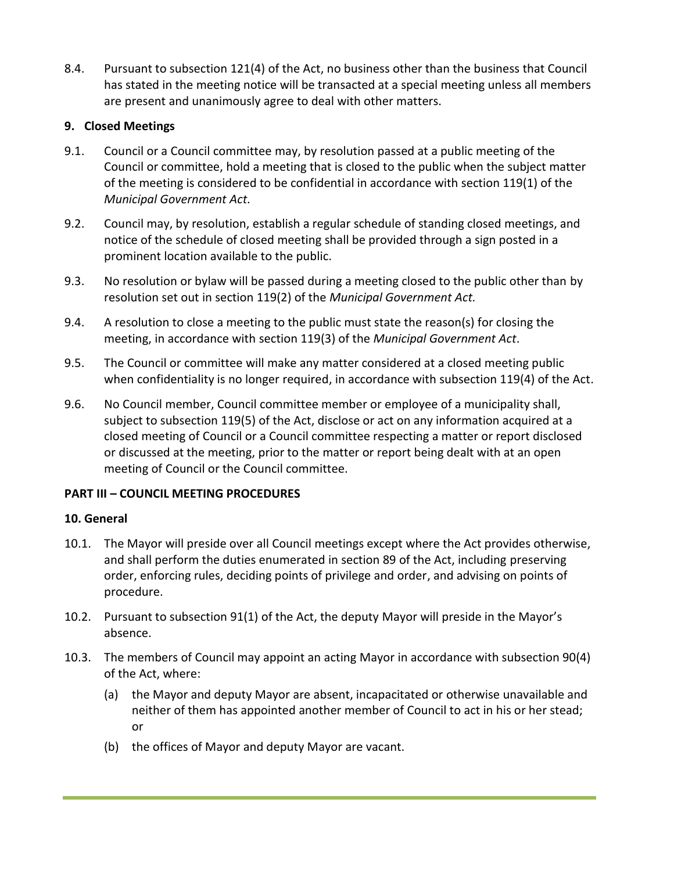8.4. Pursuant to subsection 121(4) of the Act, no business other than the business that Council has stated in the meeting notice will be transacted at a special meeting unless all members are present and unanimously agree to deal with other matters.

# **9. Closed Meetings**

- 9.1. Council or a Council committee may, by resolution passed at a public meeting of the Council or committee, hold a meeting that is closed to the public when the subject matter of the meeting is considered to be confidential in accordance with section 119(1) of the *Municipal Government Act.*
- 9.2. Council may, by resolution, establish a regular schedule of standing closed meetings, and notice of the schedule of closed meeting shall be provided through a sign posted in a prominent location available to the public.
- 9.3. No resolution or bylaw will be passed during a meeting closed to the public other than by resolution set out in section 119(2) of the *Municipal Government Act.*
- 9.4. A resolution to close a meeting to the public must state the reason(s) for closing the meeting, in accordance with section 119(3) of the *Municipal Government Act*.
- 9.5. The Council or committee will make any matter considered at a closed meeting public when confidentiality is no longer required, in accordance with subsection 119(4) of the Act.
- 9.6. No Council member, Council committee member or employee of a municipality shall, subject to subsection 119(5) of the Act, disclose or act on any information acquired at a closed meeting of Council or a Council committee respecting a matter or report disclosed or discussed at the meeting, prior to the matter or report being dealt with at an open meeting of Council or the Council committee.

#### **PART III – COUNCIL MEETING PROCEDURES**

#### **10. General**

- 10.1. The Mayor will preside over all Council meetings except where the Act provides otherwise, and shall perform the duties enumerated in section 89 of the Act, including preserving order, enforcing rules, deciding points of privilege and order, and advising on points of procedure.
- 10.2. Pursuant to subsection 91(1) of the Act, the deputy Mayor will preside in the Mayor's absence.
- 10.3. The members of Council may appoint an acting Mayor in accordance with subsection 90(4) of the Act, where:
	- (a) the Mayor and deputy Mayor are absent, incapacitated or otherwise unavailable and neither of them has appointed another member of Council to act in his or her stead; or
	- (b) the offices of Mayor and deputy Mayor are vacant.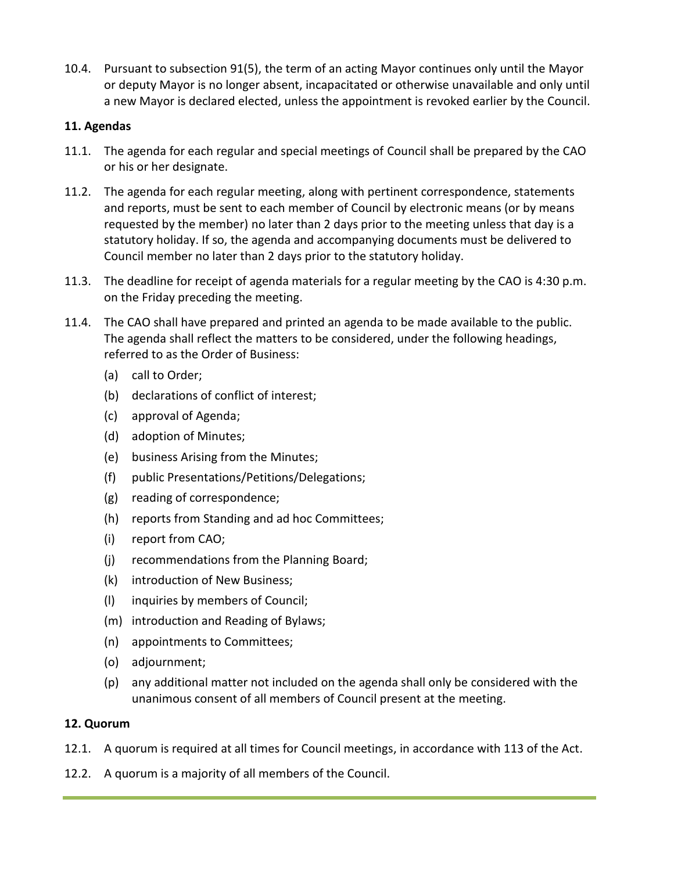10.4. Pursuant to subsection 91(5), the term of an acting Mayor continues only until the Mayor or deputy Mayor is no longer absent, incapacitated or otherwise unavailable and only until a new Mayor is declared elected, unless the appointment is revoked earlier by the Council.

## **11. Agendas**

- 11.1. The agenda for each regular and special meetings of Council shall be prepared by the CAO or his or her designate.
- 11.2. The agenda for each regular meeting, along with pertinent correspondence, statements and reports, must be sent to each member of Council by electronic means (or by means requested by the member) no later than 2 days prior to the meeting unless that day is a statutory holiday. If so, the agenda and accompanying documents must be delivered to Council member no later than 2 days prior to the statutory holiday.
- 11.3. The deadline for receipt of agenda materials for a regular meeting by the CAO is 4:30 p.m. on the Friday preceding the meeting.
- 11.4. The CAO shall have prepared and printed an agenda to be made available to the public. The agenda shall reflect the matters to be considered, under the following headings, referred to as the Order of Business:
	- (a) call to Order;
	- (b) declarations of conflict of interest;
	- (c) approval of Agenda;
	- (d) adoption of Minutes;
	- (e) business Arising from the Minutes;
	- (f) public Presentations/Petitions/Delegations;
	- (g) reading of correspondence;
	- (h) reports from Standing and ad hoc Committees;
	- (i) report from CAO;
	- (j) recommendations from the Planning Board;
	- (k) introduction of New Business;
	- (l) inquiries by members of Council;
	- (m) introduction and Reading of Bylaws;
	- (n) appointments to Committees;
	- (o) adjournment;
	- (p) any additional matter not included on the agenda shall only be considered with the unanimous consent of all members of Council present at the meeting.

# **12. Quorum**

- 12.1. A quorum is required at all times for Council meetings, in accordance with 113 of the Act.
- 12.2. A quorum is a majority of all members of the Council.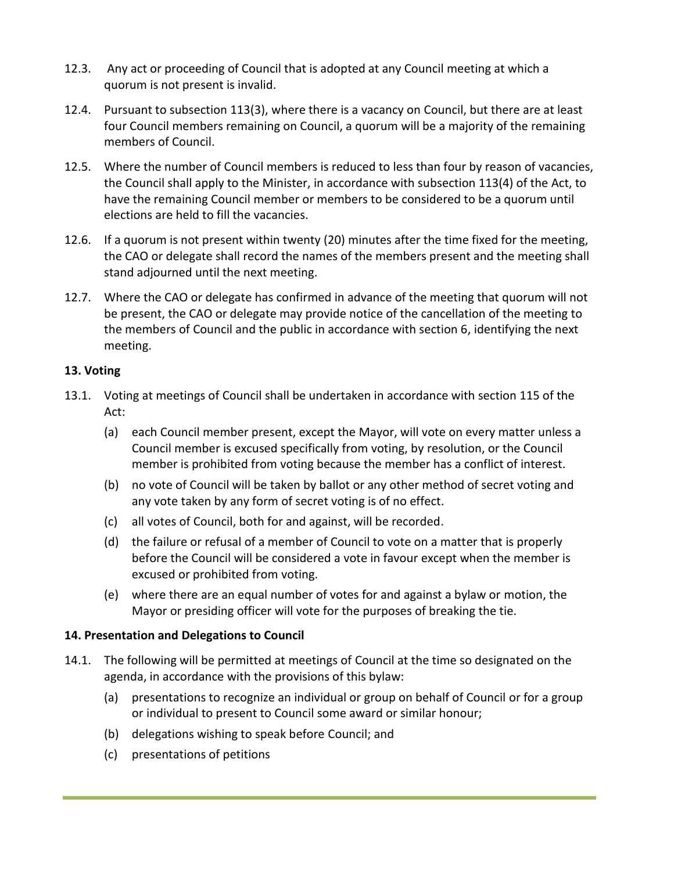- 12.3. Any act or proceeding of Council that is adopted at any Council meeting at which a quorum is not present is invalid.
- 12.4. Pursuant to subsection 113(3), where there is a vacancy on Council, but there are at least four Council members remaining on Council, a quorum will be a majority of the remaining members of Council.
- 12.5. Where the number of Council members is reduced to less than four by reason of vacancies, the Council shall apply to the Minister, in accordance with subsection 113(4) of the Act, to have the remaining Council member or members to be considered to be a quorum until elections are held to fill the vacancies.
- 12.6. If a quorum is not present within twenty (20) minutes after the time fixed for the meeting, the CAO or delegate shall record the names of the members present and the meeting shall stand adjourned until the next meeting.
- 12.7. Where the CAO or delegate has confirmed in advance of the meeting that quorum will not be present, the CAO or delegate may provide notice of the cancellation of the meeting to the members of Council and the public in accordance with section 6, identifying the next meeting.

# **13. Voting**

- 13.1. Voting at meetings of Council shall be undertaken in accordance with section 115 of the Act:
	- (a) each Council member present, except the Mayor, will vote on every matter unless a Council member is excused specifically from voting, by resolution, or the Council member is prohibited from voting because the member has a conflict of interest.
	- (b) no vote of Council will be taken by ballot or any other method of secret voting and any vote taken by any form of secret voting is of no effect.
	- (c) all votes of Council, both for and against, will be recorded.
	- (d) the failure or refusal of a member of Council to vote on a matter that is properly before the Council will be considered a vote in favour except when the member is excused or prohibited from voting.
	- (e) where there are an equal number of votes for and against a bylaw or motion, the Mayor or presiding officer will vote for the purposes of breaking the tie.

# **14. Presentation and Delegations to Council**

- 14.1. The following will be permitted at meetings of Council at the time so designated on the agenda, in accordance with the provisions of this bylaw:
	- (a) presentations to recognize an individual or group on behalf of Council or for a group or individual to present to Council some award or similar honour;
	- (b) delegations wishing to speak before Council; and
	- (c) presentations of petitions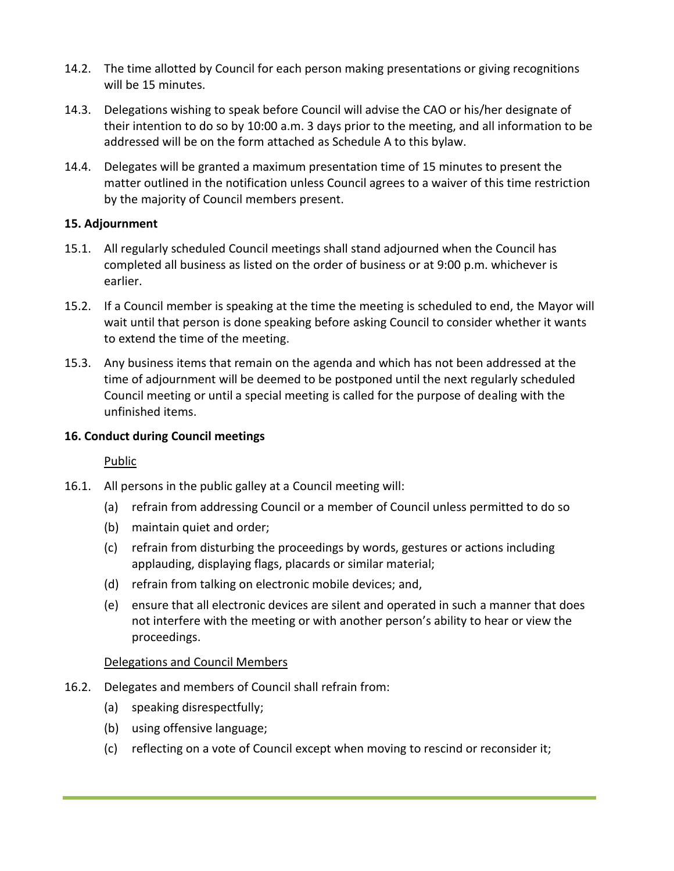- 14.2. The time allotted by Council for each person making presentations or giving recognitions will be 15 minutes.
- 14.3. Delegations wishing to speak before Council will advise the CAO or his/her designate of their intention to do so by 10:00 a.m. 3 days prior to the meeting, and all information to be addressed will be on the form attached as Schedule A to this bylaw.
- 14.4. Delegates will be granted a maximum presentation time of 15 minutes to present the matter outlined in the notification unless Council agrees to a waiver of this time restriction by the majority of Council members present.

# **15. Adjournment**

- 15.1. All regularly scheduled Council meetings shall stand adjourned when the Council has completed all business as listed on the order of business or at 9:00 p.m. whichever is earlier.
- 15.2. If a Council member is speaking at the time the meeting is scheduled to end, the Mayor will wait until that person is done speaking before asking Council to consider whether it wants to extend the time of the meeting.
- 15.3. Any business items that remain on the agenda and which has not been addressed at the time of adjournment will be deemed to be postponed until the next regularly scheduled Council meeting or until a special meeting is called for the purpose of dealing with the unfinished items.

# **16. Conduct during Council meetings**

# Public

- 16.1. All persons in the public galley at a Council meeting will:
	- (a) refrain from addressing Council or a member of Council unless permitted to do so
	- (b) maintain quiet and order;
	- (c) refrain from disturbing the proceedings by words, gestures or actions including applauding, displaying flags, placards or similar material;
	- (d) refrain from talking on electronic mobile devices; and,
	- (e) ensure that all electronic devices are silent and operated in such a manner that does not interfere with the meeting or with another person's ability to hear or view the proceedings.

# Delegations and Council Members

- 16.2. Delegates and members of Council shall refrain from:
	- (a) speaking disrespectfully;
	- (b) using offensive language;
	- (c) reflecting on a vote of Council except when moving to rescind or reconsider it;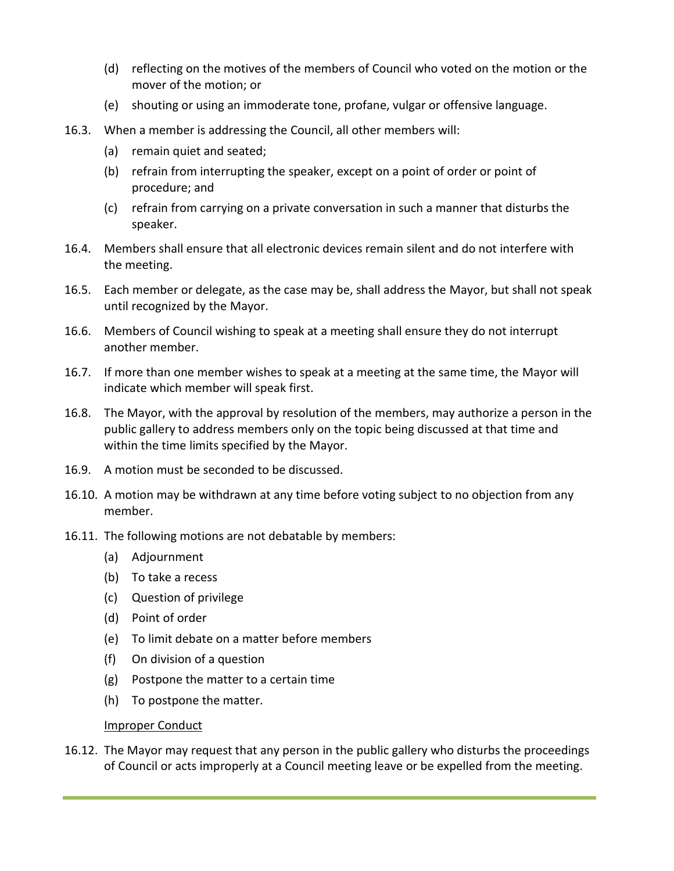- (d) reflecting on the motives of the members of Council who voted on the motion or the mover of the motion; or
- (e) shouting or using an immoderate tone, profane, vulgar or offensive language.
- 16.3. When a member is addressing the Council, all other members will:
	- (a) remain quiet and seated;
	- (b) refrain from interrupting the speaker, except on a point of order or point of procedure; and
	- (c) refrain from carrying on a private conversation in such a manner that disturbs the speaker.
- 16.4. Members shall ensure that all electronic devices remain silent and do not interfere with the meeting.
- 16.5. Each member or delegate, as the case may be, shall address the Mayor, but shall not speak until recognized by the Mayor.
- 16.6. Members of Council wishing to speak at a meeting shall ensure they do not interrupt another member.
- 16.7. If more than one member wishes to speak at a meeting at the same time, the Mayor will indicate which member will speak first.
- 16.8. The Mayor, with the approval by resolution of the members, may authorize a person in the public gallery to address members only on the topic being discussed at that time and within the time limits specified by the Mayor.
- 16.9. A motion must be seconded to be discussed.
- 16.10. A motion may be withdrawn at any time before voting subject to no objection from any member.
- 16.11. The following motions are not debatable by members:
	- (a) Adjournment
	- (b) To take a recess
	- (c) Question of privilege
	- (d) Point of order
	- (e) To limit debate on a matter before members
	- (f) On division of a question
	- (g) Postpone the matter to a certain time
	- (h) To postpone the matter.

#### Improper Conduct

16.12. The Mayor may request that any person in the public gallery who disturbs the proceedings of Council or acts improperly at a Council meeting leave or be expelled from the meeting.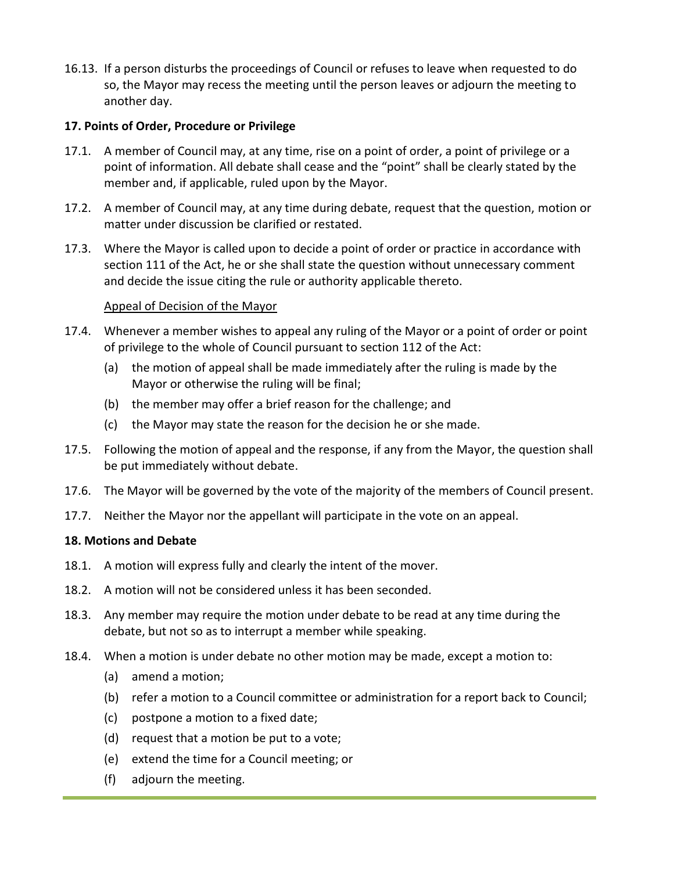16.13. If a person disturbs the proceedings of Council or refuses to leave when requested to do so, the Mayor may recess the meeting until the person leaves or adjourn the meeting to another day.

## **17. Points of Order, Procedure or Privilege**

- 17.1. A member of Council may, at any time, rise on a point of order, a point of privilege or a point of information. All debate shall cease and the "point" shall be clearly stated by the member and, if applicable, ruled upon by the Mayor.
- 17.2. A member of Council may, at any time during debate, request that the question, motion or matter under discussion be clarified or restated.
- 17.3. Where the Mayor is called upon to decide a point of order or practice in accordance with section 111 of the Act, he or she shall state the question without unnecessary comment and decide the issue citing the rule or authority applicable thereto.

## Appeal of Decision of the Mayor

- 17.4. Whenever a member wishes to appeal any ruling of the Mayor or a point of order or point of privilege to the whole of Council pursuant to section 112 of the Act:
	- (a) the motion of appeal shall be made immediately after the ruling is made by the Mayor or otherwise the ruling will be final;
	- (b) the member may offer a brief reason for the challenge; and
	- (c) the Mayor may state the reason for the decision he or she made.
- 17.5. Following the motion of appeal and the response, if any from the Mayor, the question shall be put immediately without debate.
- 17.6. The Mayor will be governed by the vote of the majority of the members of Council present.
- 17.7. Neither the Mayor nor the appellant will participate in the vote on an appeal.

#### **18. Motions and Debate**

- 18.1. A motion will express fully and clearly the intent of the mover.
- 18.2. A motion will not be considered unless it has been seconded.
- 18.3. Any member may require the motion under debate to be read at any time during the debate, but not so as to interrupt a member while speaking.
- 18.4. When a motion is under debate no other motion may be made, except a motion to:
	- (a) amend a motion;
	- (b) refer a motion to a Council committee or administration for a report back to Council;
	- (c) postpone a motion to a fixed date;
	- (d) request that a motion be put to a vote;
	- (e) extend the time for a Council meeting; or
	- (f) adjourn the meeting.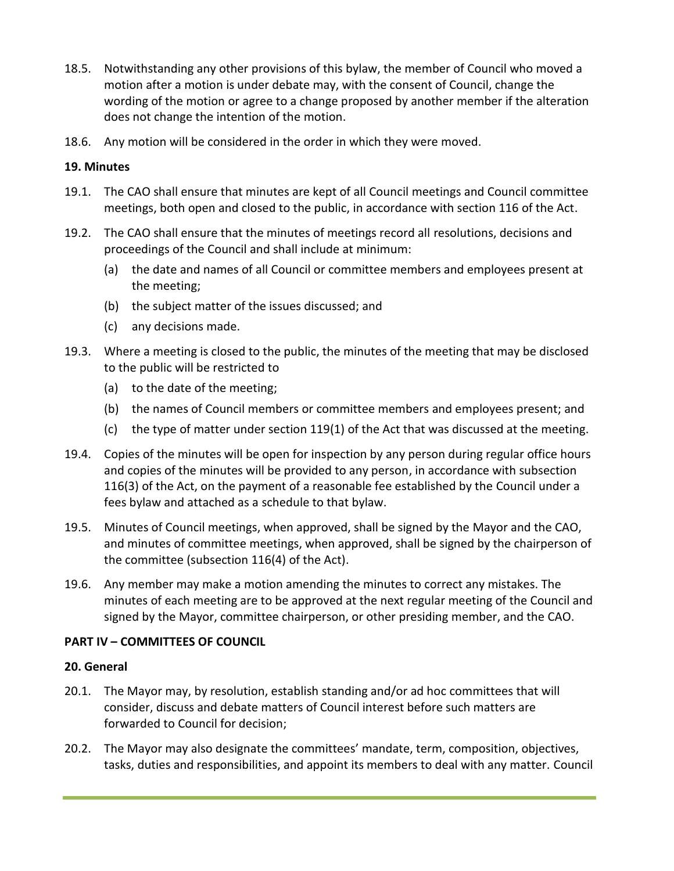- 18.5. Notwithstanding any other provisions of this bylaw, the member of Council who moved a motion after a motion is under debate may, with the consent of Council, change the wording of the motion or agree to a change proposed by another member if the alteration does not change the intention of the motion.
- 18.6. Any motion will be considered in the order in which they were moved.

## **19. Minutes**

- 19.1. The CAO shall ensure that minutes are kept of all Council meetings and Council committee meetings, both open and closed to the public, in accordance with section 116 of the Act.
- 19.2. The CAO shall ensure that the minutes of meetings record all resolutions, decisions and proceedings of the Council and shall include at minimum:
	- (a) the date and names of all Council or committee members and employees present at the meeting;
	- (b) the subject matter of the issues discussed; and
	- (c) any decisions made.
- 19.3. Where a meeting is closed to the public, the minutes of the meeting that may be disclosed to the public will be restricted to
	- (a) to the date of the meeting;
	- (b) the names of Council members or committee members and employees present; and
	- (c) the type of matter under section 119(1) of the Act that was discussed at the meeting.
- 19.4. Copies of the minutes will be open for inspection by any person during regular office hours and copies of the minutes will be provided to any person, in accordance with subsection 116(3) of the Act, on the payment of a reasonable fee established by the Council under a fees bylaw and attached as a schedule to that bylaw.
- 19.5. Minutes of Council meetings, when approved, shall be signed by the Mayor and the CAO, and minutes of committee meetings, when approved, shall be signed by the chairperson of the committee (subsection 116(4) of the Act).
- 19.6. Any member may make a motion amending the minutes to correct any mistakes. The minutes of each meeting are to be approved at the next regular meeting of the Council and signed by the Mayor, committee chairperson, or other presiding member, and the CAO.

# **PART IV – COMMITTEES OF COUNCIL**

#### **20. General**

- 20.1. The Mayor may, by resolution, establish standing and/or ad hoc committees that will consider, discuss and debate matters of Council interest before such matters are forwarded to Council for decision;
- 20.2. The Mayor may also designate the committees' mandate, term, composition, objectives, tasks, duties and responsibilities, and appoint its members to deal with any matter. Council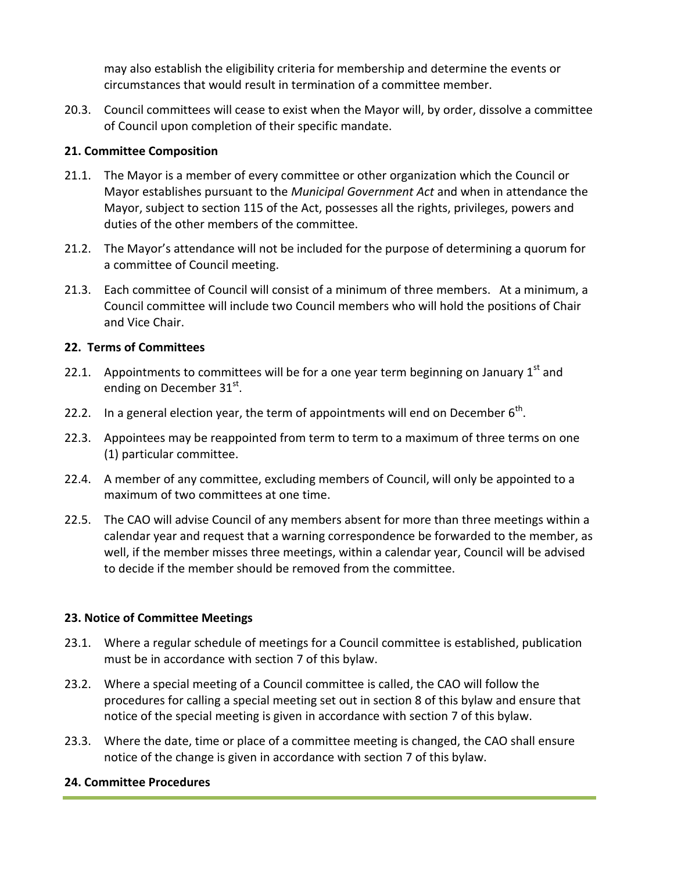may also establish the eligibility criteria for membership and determine the events or circumstances that would result in termination of a committee member.

20.3. Council committees will cease to exist when the Mayor will, by order, dissolve a committee of Council upon completion of their specific mandate.

# **21. Committee Composition**

- 21.1. The Mayor is a member of every committee or other organization which the Council or Mayor establishes pursuant to the *Municipal Government Act* and when in attendance the Mayor, subject to section 115 of the Act, possesses all the rights, privileges, powers and duties of the other members of the committee.
- 21.2. The Mayor's attendance will not be included for the purpose of determining a quorum for a committee of Council meeting.
- 21.3. Each committee of Council will consist of a minimum of three members. At a minimum, a Council committee will include two Council members who will hold the positions of Chair and Vice Chair.

# **22. Terms of Committees**

- 22.1. Appointments to committees will be for a one year term beginning on January  $1<sup>st</sup>$  and ending on December 31st.
- 22.2. In a general election year, the term of appointments will end on December  $6<sup>th</sup>$ .
- 22.3. Appointees may be reappointed from term to term to a maximum of three terms on one (1) particular committee.
- 22.4. A member of any committee, excluding members of Council, will only be appointed to a maximum of two committees at one time.
- 22.5. The CAO will advise Council of any members absent for more than three meetings within a calendar year and request that a warning correspondence be forwarded to the member, as well, if the member misses three meetings, within a calendar year, Council will be advised to decide if the member should be removed from the committee.

# **23. Notice of Committee Meetings**

- 23.1. Where a regular schedule of meetings for a Council committee is established, publication must be in accordance with section 7 of this bylaw.
- 23.2. Where a special meeting of a Council committee is called, the CAO will follow the procedures for calling a special meeting set out in section 8 of this bylaw and ensure that notice of the special meeting is given in accordance with section 7 of this bylaw.
- 23.3. Where the date, time or place of a committee meeting is changed, the CAO shall ensure notice of the change is given in accordance with section 7 of this bylaw.

# **24. Committee Procedures**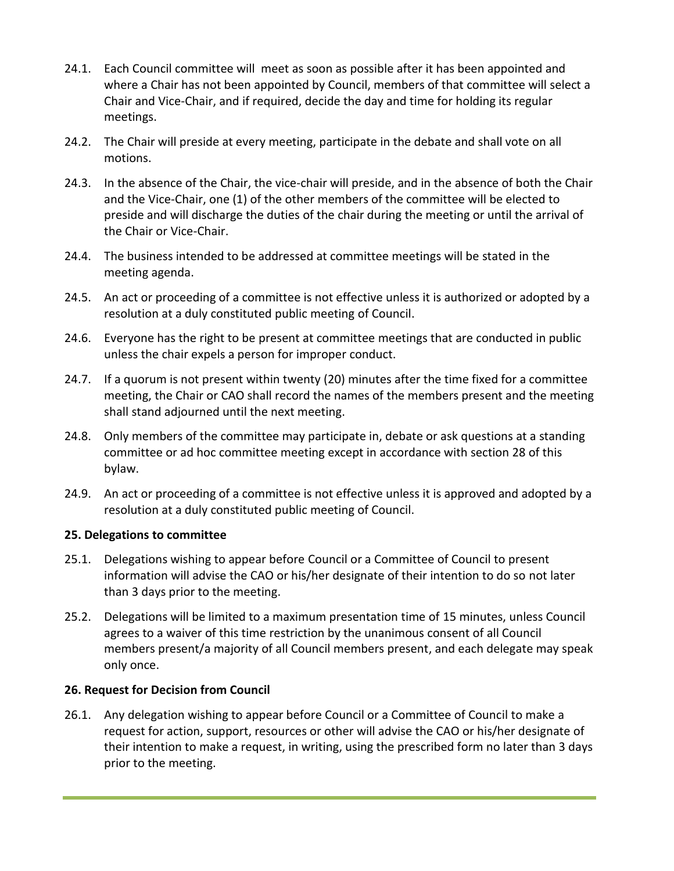- 24.1. Each Council committee will meet as soon as possible after it has been appointed and where a Chair has not been appointed by Council, members of that committee will select a Chair and Vice-Chair, and if required, decide the day and time for holding its regular meetings.
- 24.2. The Chair will preside at every meeting, participate in the debate and shall vote on all motions.
- 24.3. In the absence of the Chair, the vice-chair will preside, and in the absence of both the Chair and the Vice-Chair, one (1) of the other members of the committee will be elected to preside and will discharge the duties of the chair during the meeting or until the arrival of the Chair or Vice-Chair.
- 24.4. The business intended to be addressed at committee meetings will be stated in the meeting agenda.
- 24.5. An act or proceeding of a committee is not effective unless it is authorized or adopted by a resolution at a duly constituted public meeting of Council.
- 24.6. Everyone has the right to be present at committee meetings that are conducted in public unless the chair expels a person for improper conduct.
- 24.7. If a quorum is not present within twenty (20) minutes after the time fixed for a committee meeting, the Chair or CAO shall record the names of the members present and the meeting shall stand adjourned until the next meeting.
- 24.8. Only members of the committee may participate in, debate or ask questions at a standing committee or ad hoc committee meeting except in accordance with section 28 of this bylaw.
- 24.9. An act or proceeding of a committee is not effective unless it is approved and adopted by a resolution at a duly constituted public meeting of Council.

#### **25. Delegations to committee**

- 25.1. Delegations wishing to appear before Council or a Committee of Council to present information will advise the CAO or his/her designate of their intention to do so not later than 3 days prior to the meeting.
- 25.2. Delegations will be limited to a maximum presentation time of 15 minutes, unless Council agrees to a waiver of this time restriction by the unanimous consent of all Council members present/a majority of all Council members present, and each delegate may speak only once.

# **26. Request for Decision from Council**

26.1. Any delegation wishing to appear before Council or a Committee of Council to make a request for action, support, resources or other will advise the CAO or his/her designate of their intention to make a request, in writing, using the prescribed form no later than 3 days prior to the meeting.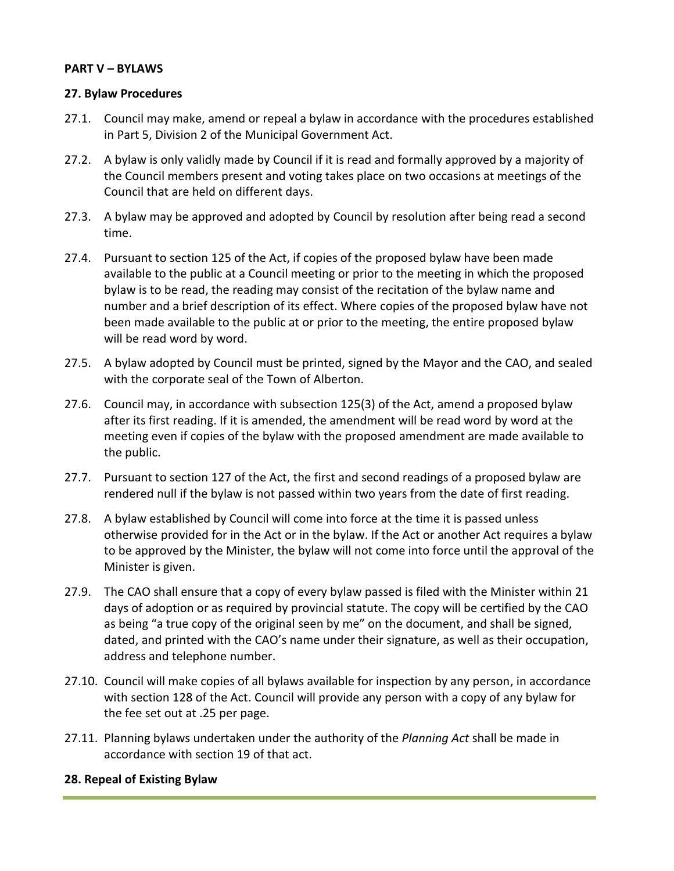#### **PART V – BYLAWS**

#### **27. Bylaw Procedures**

- 27.1. Council may make, amend or repeal a bylaw in accordance with the procedures established in Part 5, Division 2 of the Municipal Government Act.
- 27.2. A bylaw is only validly made by Council if it is read and formally approved by a majority of the Council members present and voting takes place on two occasions at meetings of the Council that are held on different days.
- 27.3. A bylaw may be approved and adopted by Council by resolution after being read a second time.
- 27.4. Pursuant to section 125 of the Act, if copies of the proposed bylaw have been made available to the public at a Council meeting or prior to the meeting in which the proposed bylaw is to be read, the reading may consist of the recitation of the bylaw name and number and a brief description of its effect. Where copies of the proposed bylaw have not been made available to the public at or prior to the meeting, the entire proposed bylaw will be read word by word.
- 27.5. A bylaw adopted by Council must be printed, signed by the Mayor and the CAO, and sealed with the corporate seal of the Town of Alberton.
- 27.6. Council may, in accordance with subsection 125(3) of the Act, amend a proposed bylaw after its first reading. If it is amended, the amendment will be read word by word at the meeting even if copies of the bylaw with the proposed amendment are made available to the public.
- 27.7. Pursuant to section 127 of the Act, the first and second readings of a proposed bylaw are rendered null if the bylaw is not passed within two years from the date of first reading.
- 27.8. A bylaw established by Council will come into force at the time it is passed unless otherwise provided for in the Act or in the bylaw. If the Act or another Act requires a bylaw to be approved by the Minister, the bylaw will not come into force until the approval of the Minister is given.
- 27.9. The CAO shall ensure that a copy of every bylaw passed is filed with the Minister within 21 days of adoption or as required by provincial statute. The copy will be certified by the CAO as being "a true copy of the original seen by me" on the document, and shall be signed, dated, and printed with the CAO's name under their signature, as well as their occupation, address and telephone number.
- 27.10. Council will make copies of all bylaws available for inspection by any person, in accordance with section 128 of the Act. Council will provide any person with a copy of any bylaw for the fee set out at .25 per page.
- 27.11. Planning bylaws undertaken under the authority of the *Planning Act* shall be made in accordance with section 19 of that act.

#### **28. Repeal of Existing Bylaw**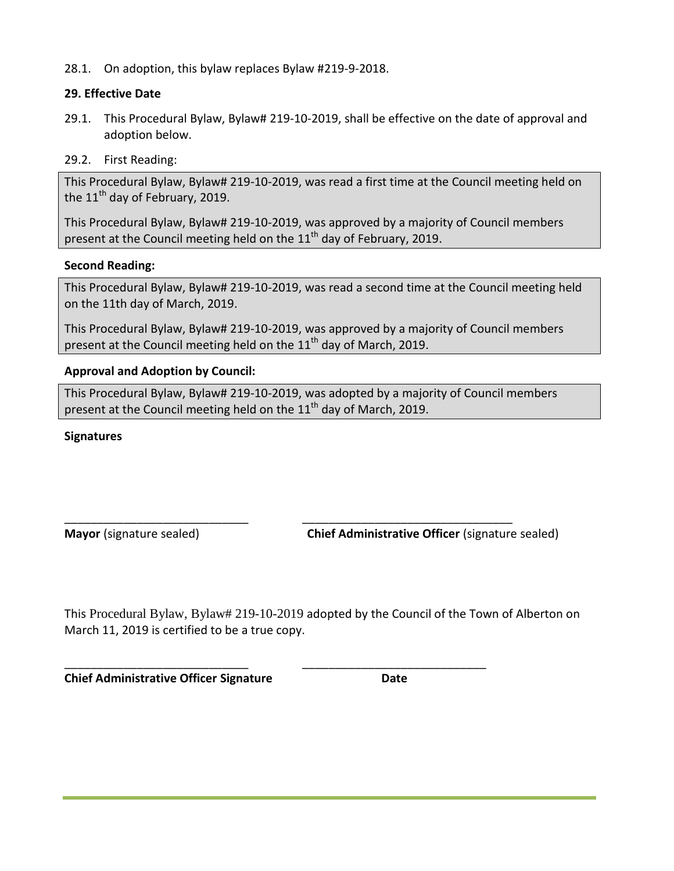28.1. On adoption, this bylaw replaces Bylaw #219-9-2018.

## **29. Effective Date**

- 29.1. This Procedural Bylaw, Bylaw# 219-10-2019, shall be effective on the date of approval and adoption below.
- 29.2. First Reading:

This Procedural Bylaw, Bylaw# 219-10-2019, was read a first time at the Council meeting held on the  $11<sup>th</sup>$  day of February, 2019.

This Procedural Bylaw, Bylaw# 219-10-2019, was approved by a majority of Council members present at the Council meeting held on the 11<sup>th</sup> day of February, 2019.

## **Second Reading:**

This Procedural Bylaw, Bylaw# 219-10-2019, was read a second time at the Council meeting held on the 11th day of March, 2019.

This Procedural Bylaw, Bylaw# 219-10-2019, was approved by a majority of Council members present at the Council meeting held on the  $11<sup>th</sup>$  day of March, 2019.

## **Approval and Adoption by Council:**

This Procedural Bylaw, Bylaw# 219-10-2019, was adopted by a majority of Council members present at the Council meeting held on the  $11<sup>th</sup>$  day of March, 2019.

\_\_\_\_\_\_\_\_\_\_\_\_\_\_\_\_\_\_\_\_\_\_\_\_\_\_\_\_ \_\_\_\_\_\_\_\_\_\_\_\_\_\_\_\_\_\_\_\_\_\_\_\_\_\_\_\_\_\_\_\_

\_\_\_\_\_\_\_\_\_\_\_\_\_\_\_\_\_\_\_\_\_\_\_\_\_\_\_\_ \_\_\_\_\_\_\_\_\_\_\_\_\_\_\_\_\_\_\_\_\_\_\_\_\_\_\_\_

## **Signatures**

**Mayor** (signature sealed) **Chief Administrative Officer** (signature sealed)

This Procedural Bylaw, Bylaw# 219-10-2019 adopted by the Council of the Town of Alberton on March 11, 2019 is certified to be a true copy.

**Chief Administrative Officer Signature Chief Administrative Officer Signature**